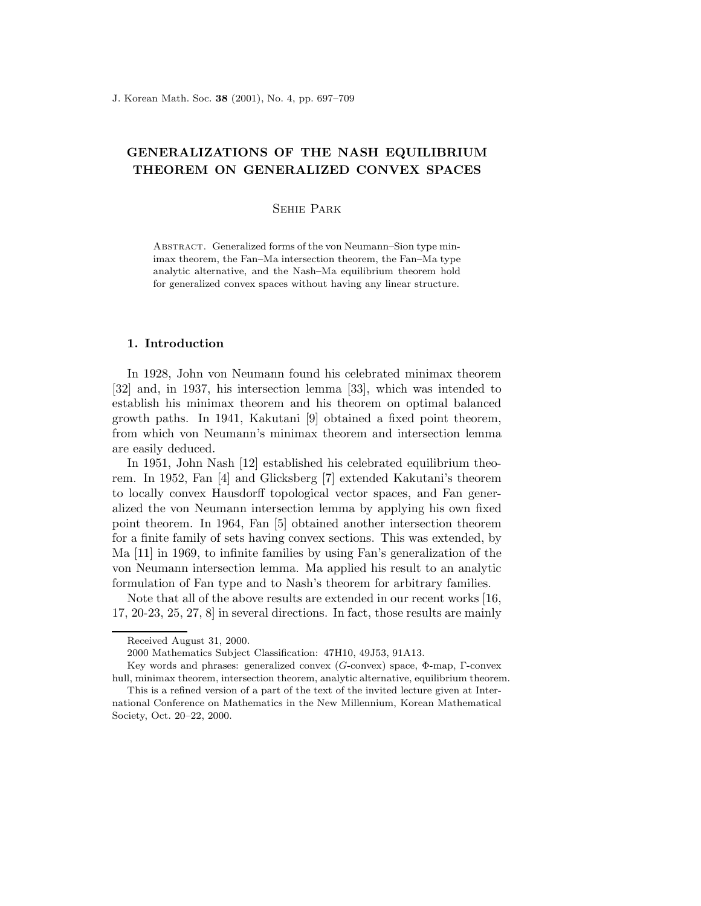# GENERALIZATIONS OF THE NASH EQUILIBRIUM THEOREM ON GENERALIZED CONVEX SPACES

# Sehie Park

ABSTRACT. Generalized forms of the von Neumann–Sion type minimax theorem, the Fan–Ma intersection theorem, the Fan–Ma type analytic alternative, and the Nash–Ma equilibrium theorem hold for generalized convex spaces without having any linear structure.

# 1. Introduction

In 1928, John von Neumann found his celebrated minimax theorem [32] and, in 1937, his intersection lemma [33], which was intended to establish his minimax theorem and his theorem on optimal balanced growth paths. In 1941, Kakutani [9] obtained a fixed point theorem, from which von Neumann's minimax theorem and intersection lemma are easily deduced.

In 1951, John Nash [12] established his celebrated equilibrium theorem. In 1952, Fan [4] and Glicksberg [7] extended Kakutani's theorem to locally convex Hausdorff topological vector spaces, and Fan generalized the von Neumann intersection lemma by applying his own fixed point theorem. In 1964, Fan [5] obtained another intersection theorem for a finite family of sets having convex sections. This was extended, by Ma [11] in 1969, to infinite families by using Fan's generalization of the von Neumann intersection lemma. Ma applied his result to an analytic formulation of Fan type and to Nash's theorem for arbitrary families.

Note that all of the above results are extended in our recent works [16, 17, 20-23, 25, 27, 8] in several directions. In fact, those results are mainly

Received August 31, 2000.

<sup>2000</sup> Mathematics Subject Classification: 47H10, 49J53, 91A13.

Key words and phrases: generalized convex (G-convex) space, Φ-map, Γ-convex hull, minimax theorem, intersection theorem, analytic alternative, equilibrium theorem.

This is a refined version of a part of the text of the invited lecture given at International Conference on Mathematics in the New Millennium, Korean Mathematical Society, Oct. 20–22, 2000.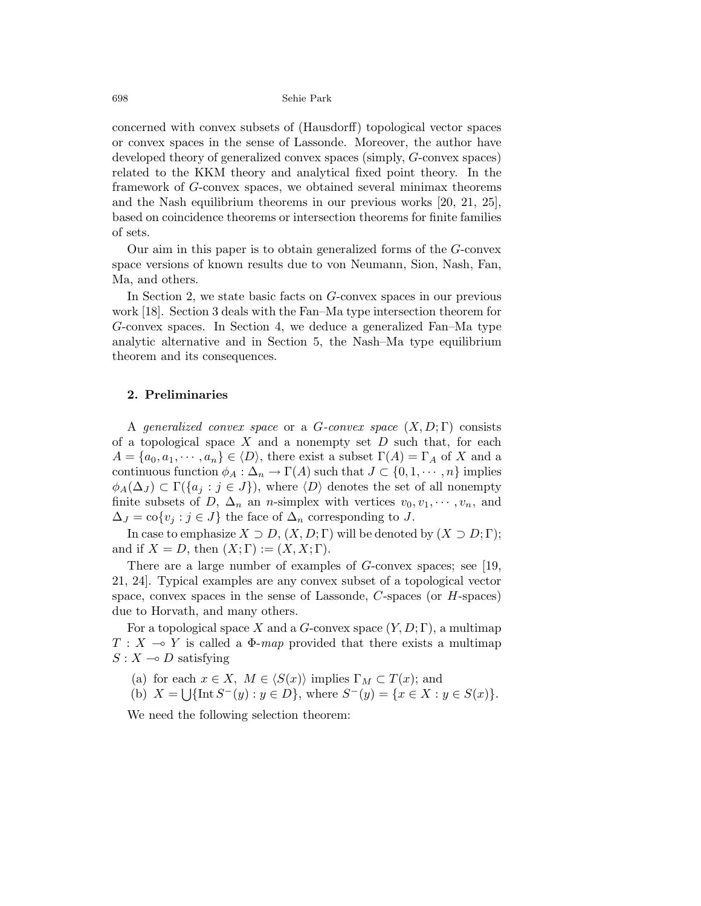concerned with convex subsets of (Hausdorff) topological vector spaces or convex spaces in the sense of Lassonde. Moreover, the author have developed theory of generalized convex spaces (simply, G-convex spaces) related to the KKM theory and analytical fixed point theory. In the framework of G-convex spaces, we obtained several minimax theorems and the Nash equilibrium theorems in our previous works [20, 21, 25], based on coincidence theorems or intersection theorems for finite families of sets.

Our aim in this paper is to obtain generalized forms of the G-convex space versions of known results due to von Neumann, Sion, Nash, Fan, Ma, and others.

In Section 2, we state basic facts on G-convex spaces in our previous work [18]. Section 3 deals with the Fan–Ma type intersection theorem for G-convex spaces. In Section 4, we deduce a generalized Fan–Ma type analytic alternative and in Section 5, the Nash–Ma type equilibrium theorem and its consequences.

### 2. Preliminaries

A generalized convex space or a G-convex space  $(X, D; \Gamma)$  consists of a topological space  $X$  and a nonempty set  $D$  such that, for each  $A = \{a_0, a_1, \dots, a_n\} \in \langle D \rangle$ , there exist a subset  $\Gamma(A) = \Gamma_A$  of X and a continuous function  $\phi_A : \Delta_n \to \Gamma(A)$  such that  $J \subset \{0, 1, \cdots, n\}$  implies  $\phi_A(\Delta_J) \subset \Gamma({a_j : j \in J})$ , where  $\langle D \rangle$  denotes the set of all nonempty finite subsets of D,  $\Delta_n$  an n-simplex with vertices  $v_0, v_1, \dots, v_n$ , and  $\Delta_J = \text{co}\{v_j : j \in J\}$  the face of  $\Delta_n$  corresponding to J.

In case to emphasize  $X \supset D$ ,  $(X, D; \Gamma)$  will be denoted by  $(X \supset D; \Gamma)$ ; and if  $X = D$ , then  $(X; \Gamma) := (X, X; \Gamma)$ .

There are a large number of examples of G-convex spaces; see [19, 21, 24]. Typical examples are any convex subset of a topological vector space, convex spaces in the sense of Lassonde, C-spaces (or H-spaces) due to Horvath, and many others.

For a topological space X and a G-convex space  $(Y, D; \Gamma)$ , a multimap  $T : X \rightarrow Y$  is called a  $\Phi$ -map provided that there exists a multimap  $S: X \rightarrow D$  satisfying

- (a) for each  $x \in X$ ,  $M \in \langle S(x) \rangle$  implies  $\Gamma_M \subset T(x)$ ; and
- (b)  $X = \bigcup \{ \text{Int } S^-(y) : y \in D \}$ , where  $S^-(y) = \{ x \in X : y \in S(x) \}$ .

We need the following selection theorem: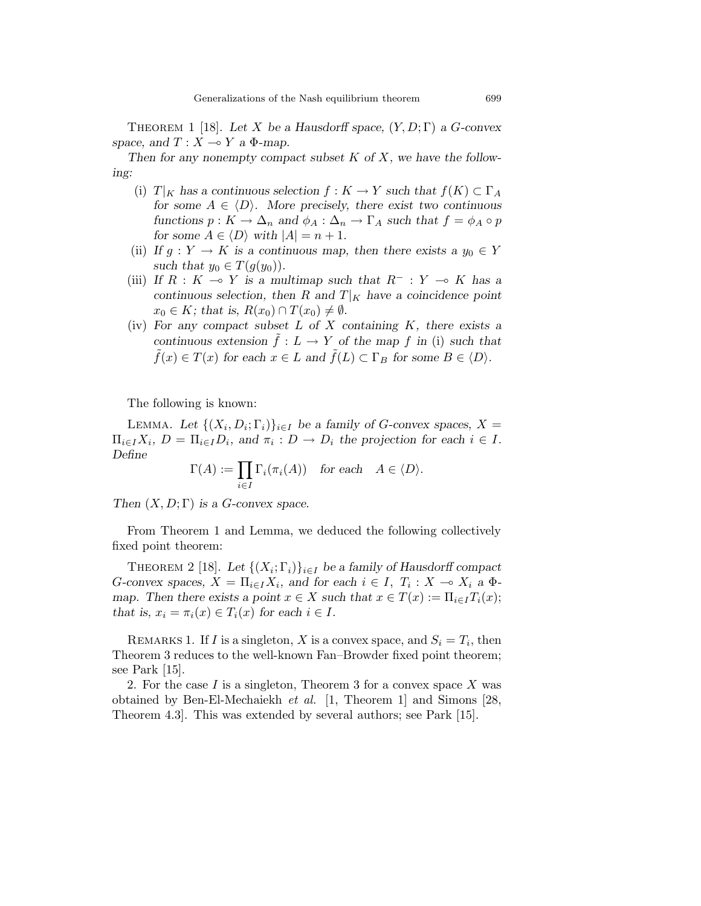THEOREM 1 [18]. Let X be a Hausdorff space,  $(Y, D; \Gamma)$  a G-convex space, and  $T : X \rightarrow Y$  a  $\Phi$ -map.

Then for any nonempty compact subset  $K$  of  $X$ , we have the following:

- (i)  $T|_K$  has a continuous selection  $f: K \to Y$  such that  $f(K) \subset \Gamma_A$ for some  $A \in \langle D \rangle$ . More precisely, there exist two continuous functions  $p: K \to \Delta_n$  and  $\phi_A: \Delta_n \to \Gamma_A$  such that  $f = \phi_A \circ p$ for some  $A \in \langle D \rangle$  with  $|A| = n + 1$ .
- (ii) If  $g: Y \to K$  is a continuous map, then there exists a  $y_0 \in Y$ such that  $y_0 \in T(g(y_0))$ .
- (iii) If  $R : K \to Y$  is a multimap such that  $R^- : Y \to K$  has a continuous selection, then R and  $T|_K$  have a coincidence point  $x_0 \in K$ ; that is,  $R(x_0) \cap T(x_0) \neq \emptyset$ .
- (iv) For any compact subset  $L$  of  $X$  containing  $K$ , there exists a continuous extension  $f: L \to Y$  of the map f in (i) such that  $\tilde{f}(x) \in T(x)$  for each  $x \in L$  and  $\tilde{f}(L) \subset \Gamma_B$  for some  $B \in \langle D \rangle$ .

The following is known:

LEMMA. Let  $\{(X_i, D_i; \Gamma_i)\}_{i \in I}$  be a family of G-convex spaces,  $X =$  $\Pi_{i\in I}X_i$ ,  $D = \Pi_{i\in I}D_i$ , and  $\pi_i : D \to D_i$  the projection for each  $i \in I$ . Define

$$
\Gamma(A) := \prod_{i \in I} \Gamma_i(\pi_i(A)) \quad \text{for each} \quad A \in \langle D \rangle.
$$

Then  $(X, D; \Gamma)$  is a G-convex space.

From Theorem 1 and Lemma, we deduced the following collectively fixed point theorem:

THEOREM 2 [18]. Let  $\{(X_i; \Gamma_i)\}_{i \in I}$  be a family of Hausdorff compact G-convex spaces,  $X = \prod_{i \in I} X_i$ , and for each  $i \in I$ ,  $T_i : X \to X_i$  a  $\Phi$ map. Then there exists a point  $x \in X$  such that  $x \in T(x) := \prod_{i \in I} T_i(x)$ ; that is,  $x_i = \pi_i(x) \in T_i(x)$  for each  $i \in I$ .

REMARKS 1. If *I* is a singleton, *X* is a convex space, and  $S_i = T_i$ , then Theorem 3 reduces to the well-known Fan–Browder fixed point theorem; see Park [15].

2. For the case I is a singleton, Theorem 3 for a convex space X was obtained by Ben-El-Mechaiekh et al. [1, Theorem 1] and Simons [28, Theorem 4.3]. This was extended by several authors; see Park [15].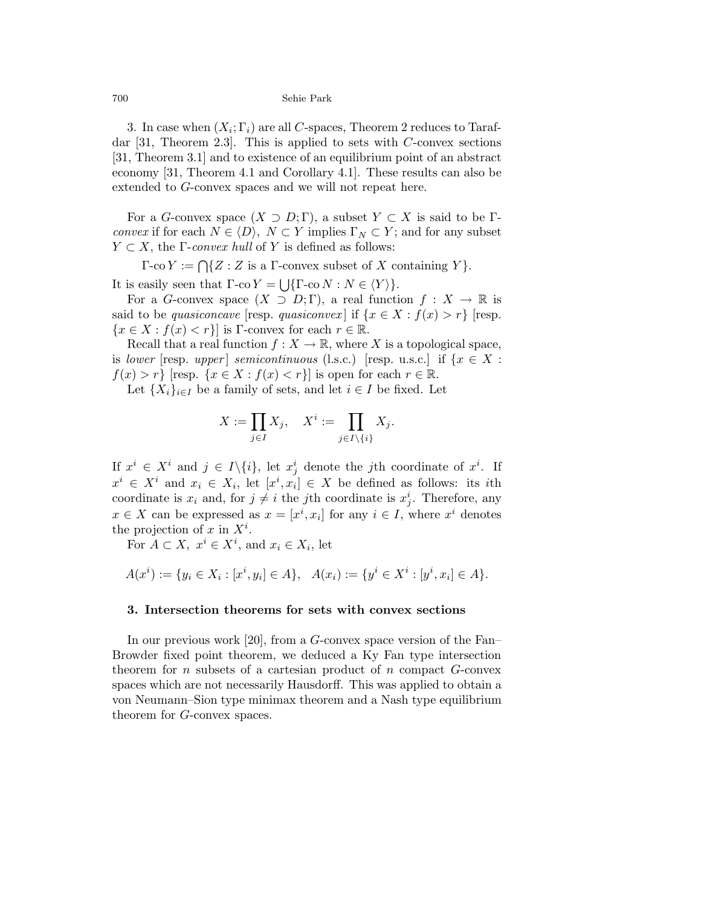3. In case when  $(X_i; \Gamma_i)$  are all C-spaces, Theorem 2 reduces to Tarafdar  $[31,$  Theorem 2.3. This is applied to sets with C-convex sections [31, Theorem 3.1] and to existence of an equilibrium point of an abstract economy [31, Theorem 4.1 and Corollary 4.1]. These results can also be extended to G-convex spaces and we will not repeat here.

For a G-convex space  $(X \supset D; \Gamma)$ , a subset  $Y \subset X$  is said to be  $\Gamma$ convex if for each  $N \in \langle D \rangle$ ,  $N \subset Y$  implies  $\Gamma_N \subset Y$ ; and for any subset  $Y \subset X$ , the *Γ-convex hull* of Y is defined as follows:

 $\Gamma$ -co  $Y := \bigcap \{Z : Z \text{ is a } \Gamma$ -convex subset of X containing Y }. It is easily seen that  $\Gamma$ -co  $Y = \bigcup {\{\Gamma$ -co  $N : N \in \langle Y \rangle\}}$ .

For a G-convex space  $(X \supset D; \Gamma)$ , a real function  $f: X \to \mathbb{R}$  is said to be *quasiconcave* [resp. *quasiconvex*] if  $\{x \in X : f(x) > r\}$  [resp.  ${x \in X : f(x) < r}$  is Γ-convex for each  $r \in \mathbb{R}$ .

Recall that a real function  $f: X \to \mathbb{R}$ , where X is a topological space, is lower [resp. upper] semicontinuous (l.s.c.) [resp. u.s.c.] if  $\{x \in X:$  $f(x) > r$  [resp.  $\{x \in X : f(x) < r\}$ ] is open for each  $r \in \mathbb{R}$ .

Let  $\{X_i\}_{i\in I}$  be a family of sets, and let  $i \in I$  be fixed. Let

$$
X := \prod_{j \in I} X_j, \quad X^i := \prod_{j \in I \setminus \{i\}} X_j.
$$

If  $x^i \in X^i$  and  $j \in I \setminus \{i\}$ , let  $x^i_j$  denote the *j*th coordinate of  $x^i$ . If  $x^i \in X^i$  and  $x_i \in X_i$ , let  $[x^i, x_i] \in X$  be defined as follows: its *i*th coordinate is  $x_i$  and, for  $j \neq i$  the jth coordinate is  $x_j^i$ . Therefore, any  $x \in X$  can be expressed as  $x = [x^i, x_i]$  for any  $i \in I$ , where  $x^i$  denotes the projection of x in  $X^i$ .

For  $A \subset X$ ,  $x^i \in X^i$ , and  $x_i \in X_i$ , let

$$
A(x^i) := \{ y_i \in X_i : [x^i, y_i] \in A \}, \quad A(x_i) := \{ y^i \in X^i : [y^i, x_i] \in A \}.
$$

# 3. Intersection theorems for sets with convex sections

In our previous work [20], from a G-convex space version of the Fan– Browder fixed point theorem, we deduced a Ky Fan type intersection theorem for n subsets of a cartesian product of n compact  $G$ -convex spaces which are not necessarily Hausdorff. This was applied to obtain a von Neumann–Sion type minimax theorem and a Nash type equilibrium theorem for G-convex spaces.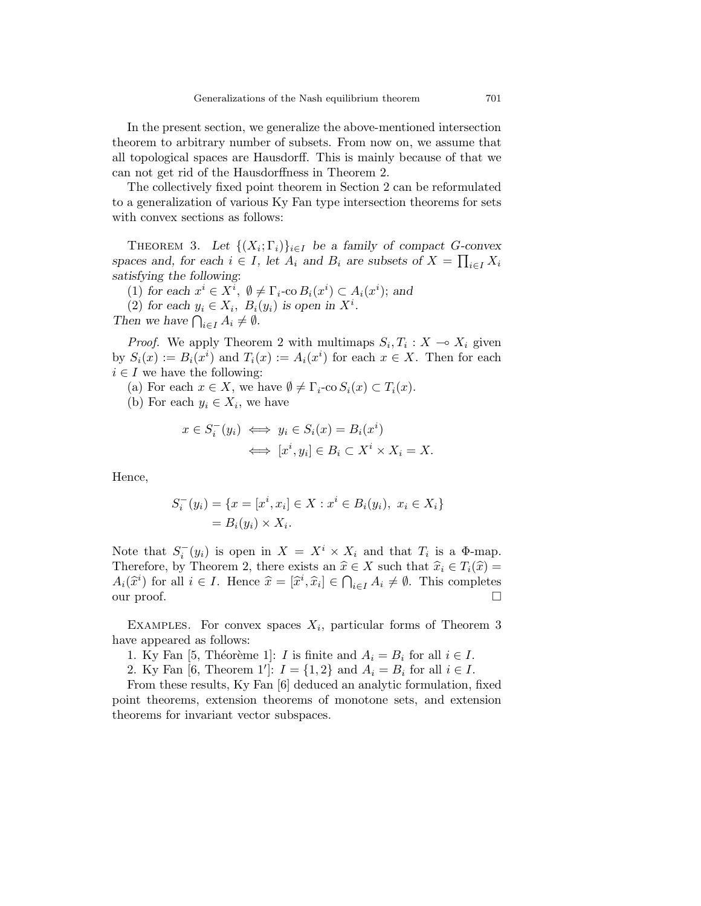In the present section, we generalize the above-mentioned intersection theorem to arbitrary number of subsets. From now on, we assume that all topological spaces are Hausdorff. This is mainly because of that we can not get rid of the Hausdorffness in Theorem 2.

The collectively fixed point theorem in Section 2 can be reformulated to a generalization of various Ky Fan type intersection theorems for sets with convex sections as follows:

THEOREM 3. Let  $\{(X_i; \Gamma_i)\}_{i \in I}$  be a family of compact G-convex spaces and, for each  $i \in I$ , let  $A_i$  and  $B_i$  are subsets of  $X = \prod_{i \in I} X_i$ satisfying the following:

(1) for each  $x^i \in X^i$ ,  $\emptyset \neq \Gamma_i$ -co $B_i(x^i) \subset A_i(x^i)$ ; and

(2) for each  $y_i \in X_i$ ,  $B_i(y_i)$  is open in  $X^i$ .

Then we have  $\bigcap_{i\in I} A_i \neq \emptyset$ .

*Proof.* We apply Theorem 2 with multimaps  $S_i, T_i : X \to X_i$  given by  $S_i(x) := B_i(x^i)$  and  $T_i(x) := A_i(x^i)$  for each  $x \in X$ . Then for each  $i \in I$  we have the following:

- (a) For each  $x \in X$ , we have  $\emptyset \neq \Gamma_i$ -co  $S_i(x) \subset T_i(x)$ .
- (b) For each  $y_i \in X_i$ , we have

$$
x \in S_i^-(y_i) \iff y_i \in S_i(x) = B_i(x^i)
$$

$$
\iff [x^i, y_i] \in B_i \subset X^i \times X_i = X.
$$

Hence,

$$
S_i^-(y_i) = \{x = [x^i, x_i] \in X : x^i \in B_i(y_i), \ x_i \in X_i\}
$$
  
=  $B_i(y_i) \times X_i$ .

Note that  $S_i^-(y_i)$  is open in  $X = X^i \times X_i$  and that  $T_i$  is a  $\Phi$ -map. Therefore, by Theorem 2, there exists an  $\hat{x} \in X$  such that  $\hat{x}_i \in T_i(\hat{x}) =$  $A_i(\hat{x}^i)$  for all  $i \in I$ . Hence  $\hat{x} = [\hat{x}^i, \hat{x}_i] \in \bigcap_{i \in I} A_i \neq \emptyset$ . This completes our proof.  $\square$ 

EXAMPLES. For convex spaces  $X_i$ , particular forms of Theorem 3 have appeared as follows:

1. Ky Fan [5, Théorème 1]: *I* is finite and  $A_i = B_i$  for all  $i \in I$ .

2. Ky Fan [6, Theorem 1']:  $I = \{1, 2\}$  and  $A_i = B_i$  for all  $i \in I$ .

From these results, Ky Fan [6] deduced an analytic formulation, fixed point theorems, extension theorems of monotone sets, and extension theorems for invariant vector subspaces.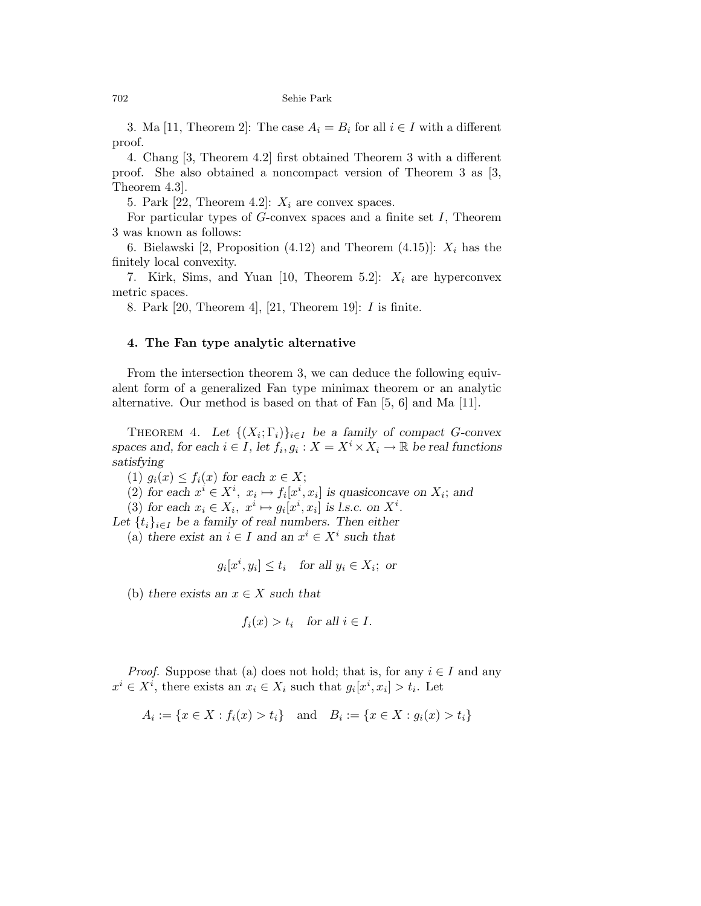3. Ma [11, Theorem 2]: The case  $A_i = B_i$  for all  $i \in I$  with a different proof.

4. Chang [3, Theorem 4.2] first obtained Theorem 3 with a different proof. She also obtained a noncompact version of Theorem 3 as [3, Theorem 4.3].

5. Park [22, Theorem 4.2]:  $X_i$  are convex spaces.

For particular types of  $G$ -convex spaces and a finite set  $I$ , Theorem 3 was known as follows:

6. Bielawski [2, Proposition (4.12) and Theorem (4.15)]:  $X_i$  has the finitely local convexity.

7. Kirk, Sims, and Yuan [10, Theorem 5.2]:  $X_i$  are hyperconvex metric spaces.

8. Park [20, Theorem 4], [21, Theorem 19]: I is finite.

### 4. The Fan type analytic alternative

From the intersection theorem 3, we can deduce the following equivalent form of a generalized Fan type minimax theorem or an analytic alternative. Our method is based on that of Fan [5, 6] and Ma [11].

THEOREM 4. Let  $\{(X_i; \Gamma_i)\}_{i \in I}$  be a family of compact G-convex spaces and, for each  $i \in I$ , let  $f_i, g_i : X = X^i \times X_i \to \mathbb{R}$  be real functions satisfying

(1)  $g_i(x) \leq f_i(x)$  for each  $x \in X$ ;

(2) for each  $x^i \in X^i$ ,  $x_i \mapsto f_i[x^i, x_i]$  is quasiconcave on  $X_i$ ; and

(3) for each  $x_i \in X_i$ ,  $x^i \mapsto g_i[x^i, x_i]$  is l.s.c. on  $X^i$ .

Let  $\{t_i\}_{i\in I}$  be a family of real numbers. Then either

(a) there exist an  $i \in I$  and an  $x^i \in X^i$  such that

$$
g_i[x^i, y_i] \le t_i
$$
 for all  $y_i \in X_i$ ; or

(b) there exists an  $x \in X$  such that

$$
f_i(x) > t_i
$$
 for all  $i \in I$ .

*Proof.* Suppose that (a) does not hold; that is, for any  $i \in I$  and any  $x^i \in X^i$ , there exists an  $x_i \in X_i$  such that  $g_i[x^i, x_i] > t_i$ . Let

$$
A_i := \{ x \in X : f_i(x) > t_i \} \text{ and } B_i := \{ x \in X : g_i(x) > t_i \}
$$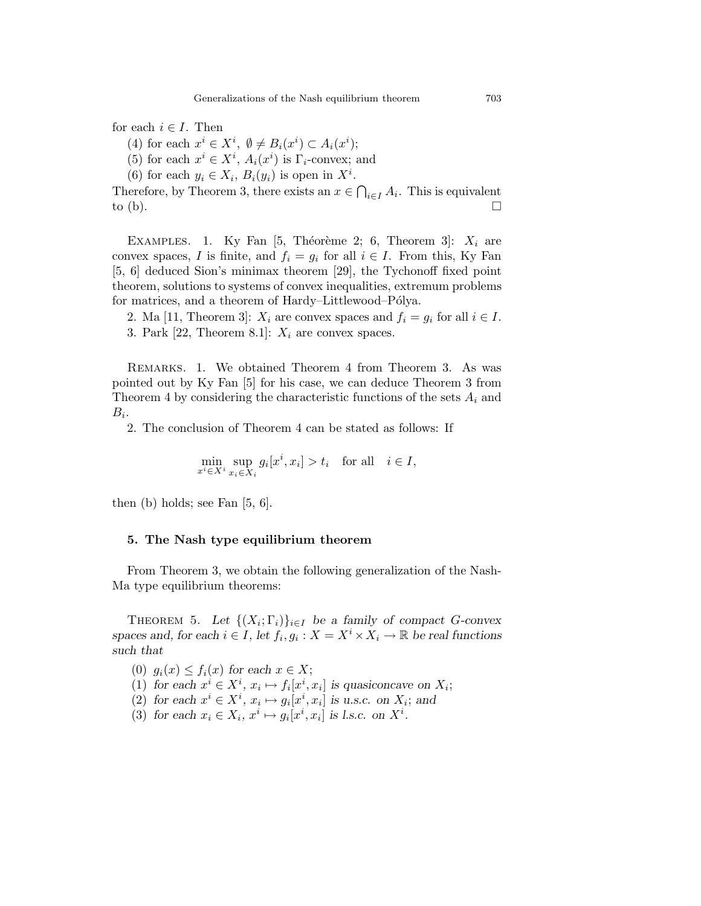for each  $i \in I$ . Then

- (4) for each  $x^i \in X^i$ ,  $\emptyset \neq B_i(x^i) \subset A_i(x^i)$ ;
- (5) for each  $x^i \in X^i$ ,  $A_i(x^i)$  is  $\Gamma_i$ -convex; and
- (6) for each  $y_i \in X_i$ ,  $B_i(y_i)$  is open in  $X^i$ .

Therefore, by Theorem 3, there exists an  $x \in \bigcap_{i \in I} A_i$ . This is equivalent to (b).  $\Box$ 

EXAMPLES. 1. Ky Fan [5, Théorème 2; 6, Theorem 3]:  $X_i$  are convex spaces, I is finite, and  $f_i = g_i$  for all  $i \in I$ . From this, Ky Fan [5, 6] deduced Sion's minimax theorem [29], the Tychonoff fixed point theorem, solutions to systems of convex inequalities, extremum problems for matrices, and a theorem of Hardy–Littlewood–Pólya.

2. Ma [11, Theorem 3]:  $X_i$  are convex spaces and  $f_i = g_i$  for all  $i \in I$ . 3. Park [22, Theorem 8.1]:  $X_i$  are convex spaces.

Remarks. 1. We obtained Theorem 4 from Theorem 3. As was pointed out by Ky Fan [5] for his case, we can deduce Theorem 3 from Theorem 4 by considering the characteristic functions of the sets  $A_i$  and  $B_i$ .

2. The conclusion of Theorem 4 can be stated as follows: If

$$
\min_{x^i \in X^i} \sup_{x_i \in X_i} g_i[x^i, x_i] > t_i \quad \text{for all} \quad i \in I,
$$

then (b) holds; see Fan [5, 6].

### 5. The Nash type equilibrium theorem

From Theorem 3, we obtain the following generalization of the Nash-Ma type equilibrium theorems:

THEOREM 5. Let  $\{(X_i; \Gamma_i)\}_{i \in I}$  be a family of compact G-convex spaces and, for each  $i \in I$ , let  $f_i, g_i : X = X^i \times X_i \to \mathbb{R}$  be real functions such that

- (0)  $g_i(x) \leq f_i(x)$  for each  $x \in X$ ;
- (1) for each  $x^i \in X^i$ ,  $x_i \mapsto f_i[x^i, x_i]$  is quasiconcave on  $X_i$ ;
- (2) for each  $x^i \in X^i$ ,  $x_i \mapsto g_i[x^i, x_i]$  is u.s.c. on  $X_i$ ; and
- (3) for each  $x_i \in X_i$ ,  $x^i \mapsto g_i[x^i, x_i]$  is l.s.c. on  $X^i$ .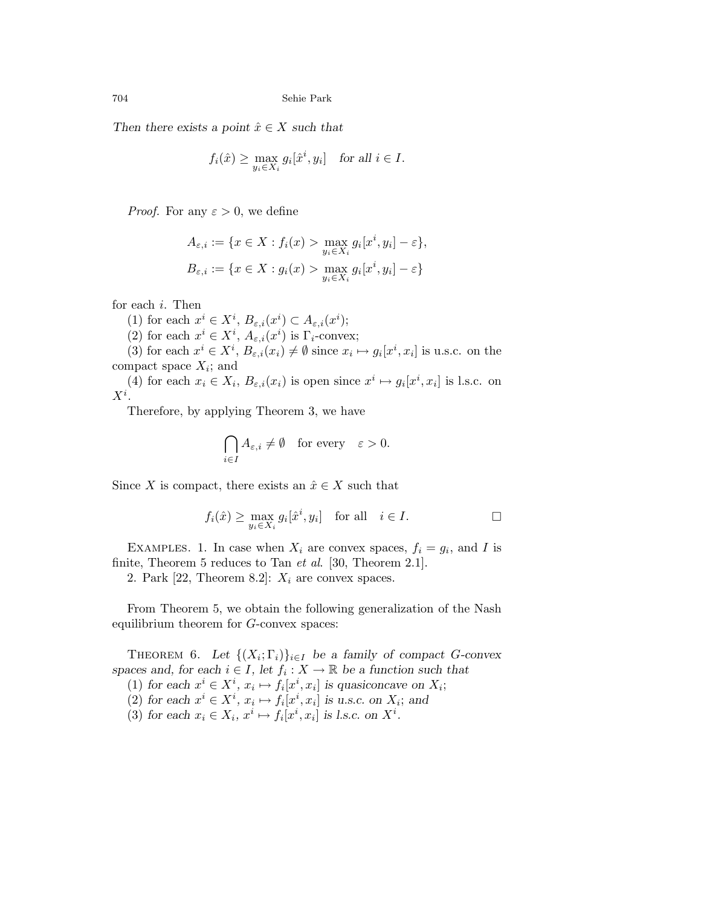Then there exists a point  $\hat{x} \in X$  such that

$$
f_i(\hat{x}) \ge \max_{y_i \in X_i} g_i[\hat{x}^i, y_i] \quad \text{for all } i \in I.
$$

*Proof.* For any  $\varepsilon > 0$ , we define

$$
A_{\varepsilon,i} := \{ x \in X : f_i(x) > \max_{y_i \in X_i} g_i[x^i, y_i] - \varepsilon \},
$$
  

$$
B_{\varepsilon,i} := \{ x \in X : g_i(x) > \max_{y_i \in X_i} g_i[x^i, y_i] - \varepsilon \}
$$

for each i. Then

(1) for each  $x^i \in X^i$ ,  $B_{\varepsilon,i}(x^i) \subset A_{\varepsilon,i}(x^i)$ ;

(2) for each  $x^i \in X^i$ ,  $A_{\varepsilon,i}(x^i)$  is  $\Gamma_i$ -convex;

(3) for each  $x^i \in X^i$ ,  $B_{\varepsilon,i}(x_i) \neq \emptyset$  since  $x_i \mapsto g_i[x^i, x_i]$  is u.s.c. on the compact space  $X_i$ ; and

(4) for each  $x_i \in X_i$ ,  $B_{\varepsilon,i}(x_i)$  is open since  $x^i \mapsto g_i[x^i, x_i]$  is l.s.c. on  $X^i$ .

Therefore, by applying Theorem 3, we have

$$
\bigcap_{i\in I} A_{\varepsilon,i} \neq \emptyset \quad \text{for every} \quad \varepsilon > 0.
$$

Since X is compact, there exists an  $\hat{x} \in X$  such that

$$
f_i(\hat{x}) \ge \max_{y_i \in X_i} g_i[\hat{x}^i, y_i] \quad \text{for all} \quad i \in I.
$$

EXAMPLES. 1. In case when  $X_i$  are convex spaces,  $f_i = g_i$ , and I is finite, Theorem 5 reduces to Tan *et al.* [30, Theorem 2.1].

2. Park [22, Theorem 8.2]:  $X_i$  are convex spaces.

From Theorem 5, we obtain the following generalization of the Nash equilibrium theorem for G-convex spaces:

THEOREM 6. Let  $\{(X_i; \Gamma_i)\}_{i \in I}$  be a family of compact G-convex spaces and, for each  $i \in I$ , let  $f_i : X \to \mathbb{R}$  be a function such that (1) for each  $x^i \in X^i$ ,  $x_i \mapsto f_i[x^i, x_i]$  is quasiconcave on  $X_i$ ;

(2) for each  $x^i \in X^i$ ,  $x_i \mapsto f_i[x^i, x_i]$  is u.s.c. on  $X_i$ ; and

(3) for each  $x_i \in X_i$ ,  $x^i \mapsto f_i[x^i, x_i]$  is l.s.c. on  $X^i$ .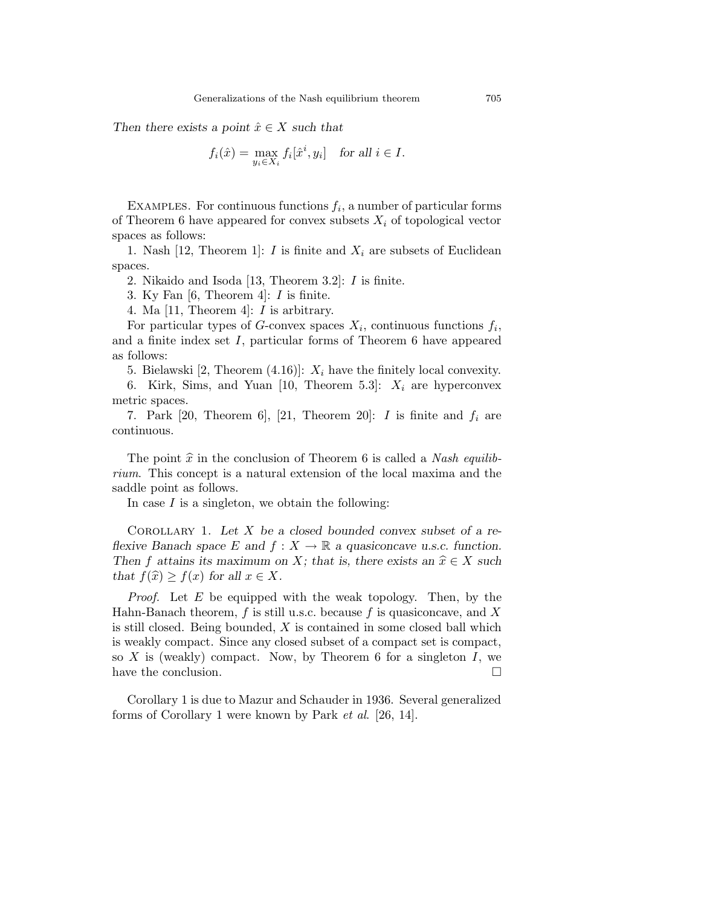Then there exists a point  $\hat{x} \in X$  such that

$$
f_i(\hat{x}) = \max_{y_i \in X_i} f_i[\hat{x}^i, y_i] \quad \text{for all } i \in I.
$$

EXAMPLES. For continuous functions  $f_i$ , a number of particular forms of Theorem 6 have appeared for convex subsets  $X_i$  of topological vector spaces as follows:

1. Nash [12, Theorem 1]: I is finite and  $X_i$  are subsets of Euclidean spaces.

2. Nikaido and Isoda [13, Theorem 3.2]: I is finite.

3. Ky Fan [6, Theorem 4]: I is finite.

4. Ma [11, Theorem 4]: I is arbitrary.

For particular types of G-convex spaces  $X_i$ , continuous functions  $f_i$ , and a finite index set  $I$ , particular forms of Theorem 6 have appeared as follows:

5. Bielawski [2, Theorem  $(4.16)$ ]:  $X_i$  have the finitely local convexity.

6. Kirk, Sims, and Yuan [10, Theorem 5.3]:  $X_i$  are hyperconvex metric spaces.

7. Park [20, Theorem 6], [21, Theorem 20]: I is finite and  $f_i$  are continuous.

The point  $\hat{x}$  in the conclusion of Theorem 6 is called a *Nash equilib*rium. This concept is a natural extension of the local maxima and the saddle point as follows.

In case  $I$  is a singleton, we obtain the following:

COROLLARY 1. Let  $X$  be a closed bounded convex subset of a reflexive Banach space E and  $f : X \to \mathbb{R}$  a quasiconcave u.s.c. function. Then f attains its maximum on X; that is, there exists an  $\hat{x} \in X$  such that  $f(\widehat{x}) \geq f(x)$  for all  $x \in X$ .

*Proof.* Let  $E$  be equipped with the weak topology. Then, by the Hahn-Banach theorem,  $f$  is still u.s.c. because  $f$  is quasiconcave, and  $X$ is still closed. Being bounded,  $X$  is contained in some closed ball which is weakly compact. Since any closed subset of a compact set is compact, so X is (weakly) compact. Now, by Theorem 6 for a singleton  $I$ , we have the conclusion.

Corollary 1 is due to Mazur and Schauder in 1936. Several generalized forms of Corollary 1 were known by Park et al. [26, 14].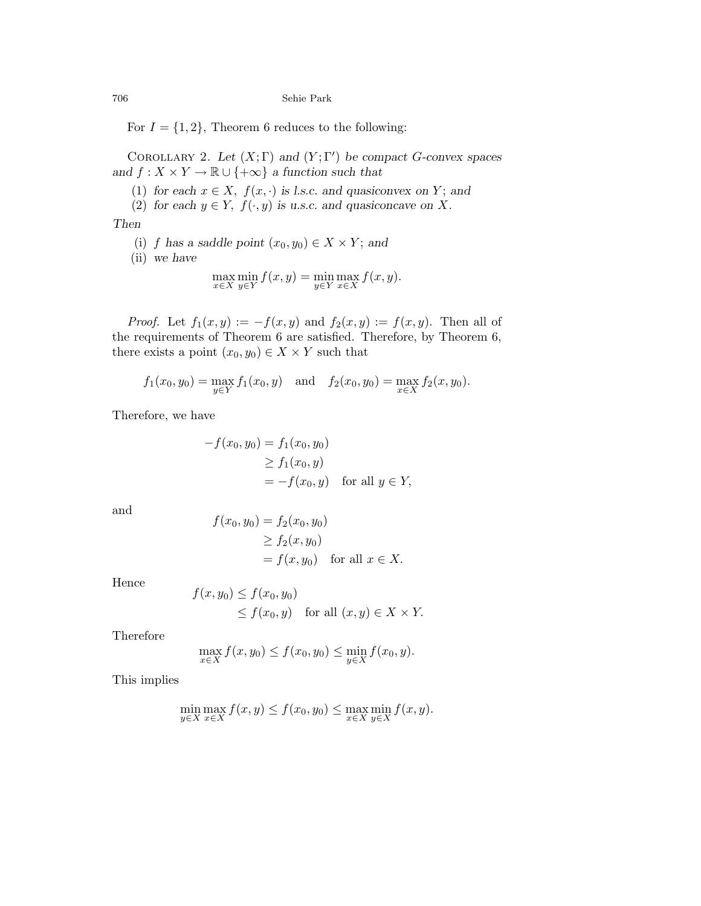For  $I = \{1, 2\}$ , Theorem 6 reduces to the following:

COROLLARY 2. Let  $(X; \Gamma)$  and  $(Y; \Gamma')$  be compact G-convex spaces and  $f: X \times Y \to \mathbb{R} \cup \{+\infty\}$  a function such that

- (1) for each  $x \in X$ ,  $f(x, \cdot)$  is l.s.c. and quasiconvex on Y; and
- (2) for each  $y \in Y$ ,  $f(\cdot, y)$  is u.s.c. and quasiconcave on X.

Then

(i) f has a saddle point  $(x_0, y_0) \in X \times Y$ ; and

(ii) we have

$$
\max_{x \in X} \min_{y \in Y} f(x, y) = \min_{y \in Y} \max_{x \in X} f(x, y).
$$

*Proof.* Let  $f_1(x, y) := -f(x, y)$  and  $f_2(x, y) := f(x, y)$ . Then all of the requirements of Theorem 6 are satisfied. Therefore, by Theorem 6, there exists a point  $(x_0, y_0) \in X \times Y$  such that

$$
f_1(x_0, y_0) = \max_{y \in Y} f_1(x_0, y)
$$
 and  $f_2(x_0, y_0) = \max_{x \in X} f_2(x, y_0)$ .

Therefore, we have

$$
-f(x_0, y_0) = f_1(x_0, y_0)
$$
  
\n
$$
\geq f_1(x_0, y)
$$
  
\n
$$
= -f(x_0, y) \quad \text{for all } y \in Y,
$$

and

$$
f(x_0, y_0) = f_2(x_0, y_0)
$$
  
\n
$$
\ge f_2(x, y_0)
$$
  
\n
$$
= f(x, y_0) \text{ for all } x \in X.
$$

Hence

$$
f(x, y_0) \le f(x_0, y_0)
$$
  
 
$$
\le f(x_0, y) \quad \text{for all } (x, y) \in X \times Y.
$$

Therefore

$$
\max_{x \in X} f(x, y_0) \le f(x_0, y_0) \le \min_{y \in X} f(x_0, y).
$$

This implies

$$
\min_{y \in X} \max_{x \in X} f(x, y) \le f(x_0, y_0) \le \max_{x \in X} \min_{y \in X} f(x, y).
$$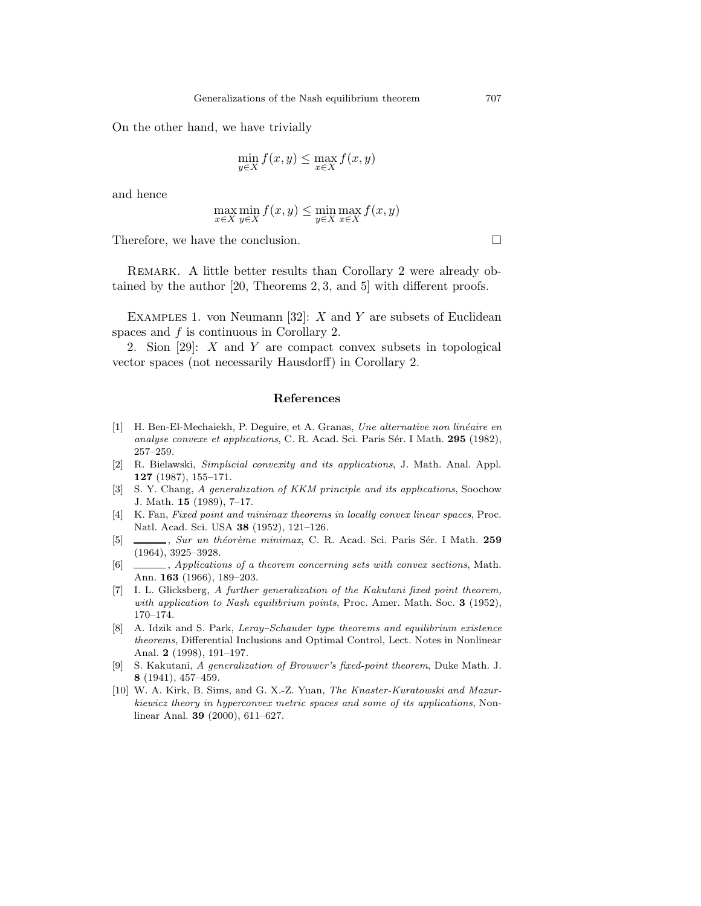On the other hand, we have trivially

$$
\min_{y \in X} f(x, y) \le \max_{x \in X} f(x, y)
$$

and hence

$$
\max_{x \in X} \min_{y \in X} f(x, y) \le \min_{y \in X} \max_{x \in X} f(x, y)
$$

Therefore, we have the conclusion.

REMARK. A little better results than Corollary 2 were already obtained by the author [20, Theorems 2, 3, and 5] with different proofs.

EXAMPLES 1. von Neumann [32]:  $X$  and  $Y$  are subsets of Euclidean spaces and f is continuous in Corollary 2.

2. Sion [29]: X and Y are compact convex subsets in topological vector spaces (not necessarily Hausdorff) in Corollary 2.

### References

- [1] H. Ben-El-Mechaiekh, P. Deguire, et A. Granas, Une alternative non linéaire en analyse convexe et applications, C. R. Acad. Sci. Paris Sér. I Math. 295 (1982), 257–259.
- [2] R. Bielawski, Simplicial convexity and its applications, J. Math. Anal. Appl. 127 (1987), 155–171.
- [3] S. Y. Chang, A generalization of KKM principle and its applications, Soochow J. Math. 15 (1989), 7–17.
- [4] K. Fan, Fixed point and minimax theorems in locally convex linear spaces, Proc. Natl. Acad. Sci. USA 38 (1952), 121–126.
- [5] , Sur un théorème minimax, C. R. Acad. Sci. Paris Sér. I Math. 259 (1964), 3925–3928.
- [6] , Applications of a theorem concerning sets with convex sections, Math. Ann. 163 (1966), 189–203.
- [7] I. L. Glicksberg, A further generalization of the Kakutani fixed point theorem, with application to Nash equilibrium points, Proc. Amer. Math. Soc. 3 (1952), 170–174.
- [8] A. Idzik and S. Park, Leray–Schauder type theorems and equilibrium existence theorems, Differential Inclusions and Optimal Control, Lect. Notes in Nonlinear Anal. 2 (1998), 191–197.
- [9] S. Kakutani, A generalization of Brouwer's fixed-point theorem, Duke Math. J. 8 (1941), 457–459.
- [10] W. A. Kirk, B. Sims, and G. X.-Z. Yuan, The Knaster-Kuratowski and Mazurkiewicz theory in hyperconvex metric spaces and some of its applications, Nonlinear Anal. 39 (2000), 611–627.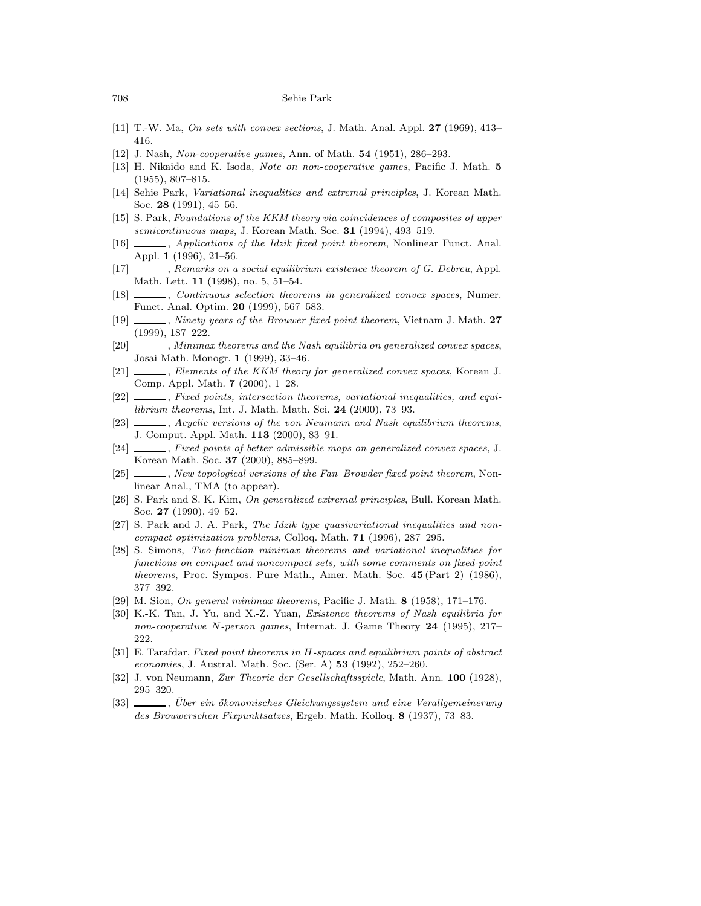- [11] T.-W. Ma, On sets with convex sections, J. Math. Anal. Appl. 27 (1969), 413– 416.
- [12] J. Nash, Non-cooperative games, Ann. of Math. 54 (1951), 286–293.
- [13] H. Nikaido and K. Isoda, Note on non-cooperative games, Pacific J. Math. 5 (1955), 807–815.
- [14] Sehie Park, Variational inequalities and extremal principles, J. Korean Math. Soc. 28 (1991), 45–56.
- [15] S. Park, Foundations of the KKM theory via coincidences of composites of upper semicontinuous maps, J. Korean Math. Soc. 31 (1994), 493-519.
- [16]  $\_\_\_\_\$ , Applications of the Idzik fixed point theorem, Nonlinear Funct. Anal. Appl. 1 (1996), 21–56.
- [17] , Remarks on a social equilibrium existence theorem of G. Debreu, Appl. Math. Lett. 11 (1998), no. 5, 51–54.
- [18]  $\_\_\_\_\$ , Continuous selection theorems in generalized convex spaces, Numer. Funct. Anal. Optim. 20 (1999), 567–583.
- [19] , Ninety years of the Brouwer fixed point theorem, Vietnam J. Math. 27 (1999), 187–222.
- [20]  $\_\_\_\_\$ , Minimax theorems and the Nash equilibria on generalized convex spaces, Josai Math. Monogr. 1 (1999), 33–46.
- [21]  $\_\_\_\_\$ , Elements of the KKM theory for generalized convex spaces, Korean J. Comp. Appl. Math. 7 (2000), 1–28.
- [22]  $\_\_\_\_\$ , Fixed points, intersection theorems, variational inequalities, and equilibrium theorems, Int. J. Math. Math. Sci. 24 (2000), 73–93.
- [23]  $\_\_\_\_\$ , Acyclic versions of the von Neumann and Nash equilibrium theorems, J. Comput. Appl. Math. 113 (2000), 83–91.
- [24]  $\_\_\_\_\$ , Fixed points of better admissible maps on generalized convex spaces, J. Korean Math. Soc. 37 (2000), 885–899.
- [25] , New topological versions of the Fan–Browder fixed point theorem, Nonlinear Anal., TMA (to appear).
- [26] S. Park and S. K. Kim, On generalized extremal principles, Bull. Korean Math. Soc. 27 (1990), 49–52.
- [27] S. Park and J. A. Park, The Idzik type quasivariational inequalities and noncompact optimization problems, Colloq. Math. 71 (1996), 287–295.
- [28] S. Simons, Two-function minimax theorems and variational inequalities for functions on compact and noncompact sets, with some comments on fixed-point theorems, Proc. Sympos. Pure Math., Amer. Math. Soc. 45 (Part 2) (1986), 377–392.
- [29] M. Sion, On general minimax theorems, Pacific J. Math. 8 (1958), 171–176.
- [30] K.-K. Tan, J. Yu, and X.-Z. Yuan, Existence theorems of Nash equilibria for non-cooperative N-person games, Internat. J. Game Theory 24 (1995), 217– 222.
- [31] E. Tarafdar, Fixed point theorems in H-spaces and equilibrium points of abstract economies, J. Austral. Math. Soc. (Ser. A) 53 (1992), 252–260.
- [32] J. von Neumann, Zur Theorie der Gesellschaftsspiele, Math. Ann. 100 (1928), 295–320.
- [33] , Über ein ökonomisches Gleichungssystem und eine Verallgemeinerung des Brouwerschen Fixpunktsatzes, Ergeb. Math. Kolloq. 8 (1937), 73–83.